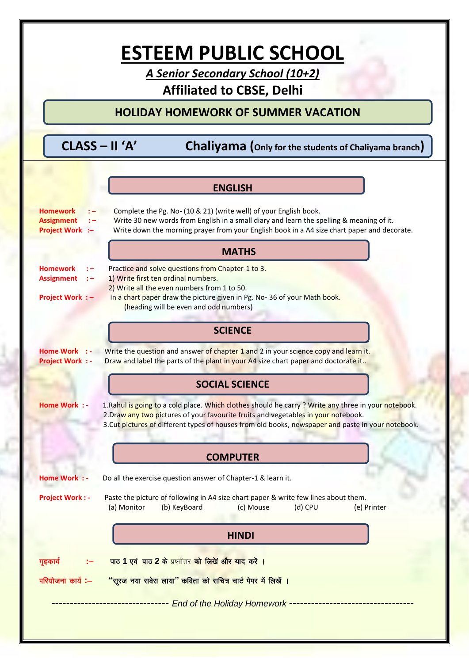## **ESTEEM PUBLIC SCHOOL**

A Senior Secondary School (10+2)

## **Affiliated to CBSE, Delhi**

**HOLIDAY HOMEWORK OF SUMMER VACATION** 

CLASS - II 'A'

Chaliyama (Only for the students of Chaliyama branch)

|                                                                | <b>ENGLISH</b>                                                                                                                                                                                                                                                                                 |
|----------------------------------------------------------------|------------------------------------------------------------------------------------------------------------------------------------------------------------------------------------------------------------------------------------------------------------------------------------------------|
| <b>Homework</b><br><b>Assignment</b><br><b>Project Work :-</b> | Complete the Pg. No- (10 & 21) (write well) of your English book.<br>Write 30 new words from English in a small diary and learn the spelling & meaning of it.<br>Write down the morning prayer from your English book in a A4 size chart paper and decorate.                                   |
|                                                                | <b>MATHS</b>                                                                                                                                                                                                                                                                                   |
| <b>Homework</b><br><b>Assignment</b>                           | Practice and solve questions from Chapter-1 to 3.<br>1) Write first ten ordinal numbers.<br>2) Write all the even numbers from 1 to 50.                                                                                                                                                        |
| <b>Project Work: -</b>                                         | In a chart paper draw the picture given in Pg. No-36 of your Math book.<br>(heading will be even and odd numbers)                                                                                                                                                                              |
|                                                                | <b>SCIENCE</b>                                                                                                                                                                                                                                                                                 |
| Home Work : -<br><b>Project Work: -</b>                        | Write the question and answer of chapter 1 and 2 in your science copy and learn it.<br>Draw and label the parts of the plant in your A4 size chart paper and doctorate it                                                                                                                      |
|                                                                | <b>SOCIAL SCIENCE</b>                                                                                                                                                                                                                                                                          |
| Home Work: -                                                   | 1.Rahul is going to a cold place. Which clothes should he carry? Write any three in your notebook.<br>2. Draw any two pictures of your favourite fruits and vegetables in your notebook.<br>3. Cut pictures of different types of houses from old books, newspaper and paste in your notebook. |
|                                                                | <b>COMPUTER</b>                                                                                                                                                                                                                                                                                |
| Home Work : -                                                  | Do all the exercise question answer of Chapter-1 & learn it.                                                                                                                                                                                                                                   |
| <b>Project Work: -</b>                                         | Paste the picture of following in A4 size chart paper & write few lines about them.<br>(a) Monitor<br>(b) KeyBoard<br>(c) Mouse<br>(d) CPU<br>(e) Printer                                                                                                                                      |
|                                                                | <b>HINDI</b>                                                                                                                                                                                                                                                                                   |
| गृहकार्य                                                       | पाठ 1 एवं पाठ 2 के प्रष्नोत्तर को लिखें और याद करें ।                                                                                                                                                                                                                                          |
| परियोजना कार्य:-                                               | "सूरज नया सवेरा लाया" कविता को सचित्र चार्ट पेपर में लिखें ।                                                                                                                                                                                                                                   |
|                                                                | ------------------- End of the Holiday Homework -------------------------                                                                                                                                                                                                                      |